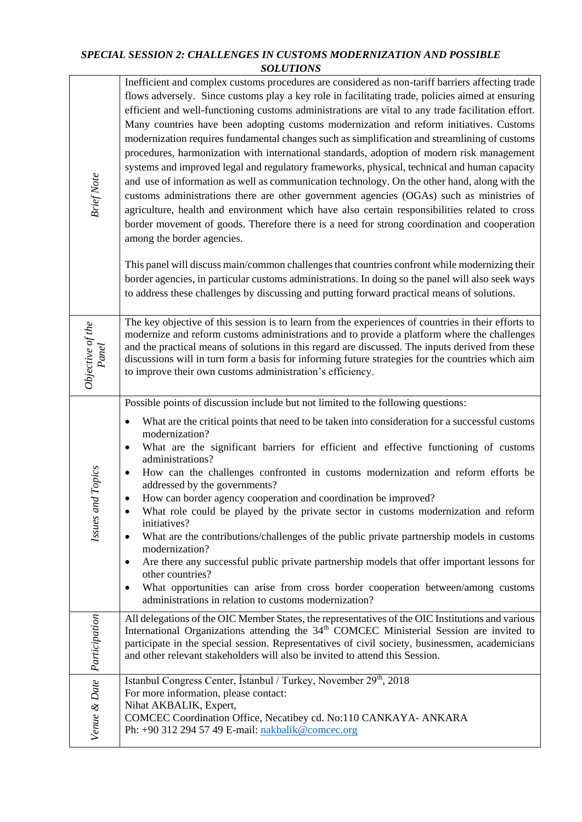## *SPECIAL SESSION 2: CHALLENGES IN CUSTOMS MODERNIZATION AND POSSIBLE SOLUTIONS*

| <b>Brief Note</b>           | Inefficient and complex customs procedures are considered as non-tariff barriers affecting trade<br>flows adversely. Since customs play a key role in facilitating trade, policies aimed at ensuring<br>efficient and well-functioning customs administrations are vital to any trade facilitation effort.<br>Many countries have been adopting customs modernization and reform initiatives. Customs<br>modernization requires fundamental changes such as simplification and streamlining of customs<br>procedures, harmonization with international standards, adoption of modern risk management<br>systems and improved legal and regulatory frameworks, physical, technical and human capacity<br>and use of information as well as communication technology. On the other hand, along with the<br>customs administrations there are other government agencies (OGAs) such as ministries of<br>agriculture, health and environment which have also certain responsibilities related to cross<br>border movement of goods. Therefore there is a need for strong coordination and cooperation<br>among the border agencies.<br>This panel will discuss main/common challenges that countries confront while modernizing their<br>border agencies, in particular customs administrations. In doing so the panel will also seek ways<br>to address these challenges by discussing and putting forward practical means of solutions. |  |
|-----------------------------|---------------------------------------------------------------------------------------------------------------------------------------------------------------------------------------------------------------------------------------------------------------------------------------------------------------------------------------------------------------------------------------------------------------------------------------------------------------------------------------------------------------------------------------------------------------------------------------------------------------------------------------------------------------------------------------------------------------------------------------------------------------------------------------------------------------------------------------------------------------------------------------------------------------------------------------------------------------------------------------------------------------------------------------------------------------------------------------------------------------------------------------------------------------------------------------------------------------------------------------------------------------------------------------------------------------------------------------------------------------------------------------------------------------------------------------|--|
| Objective of the<br>Panel   | The key objective of this session is to learn from the experiences of countries in their efforts to<br>modernize and reform customs administrations and to provide a platform where the challenges<br>and the practical means of solutions in this regard are discussed. The inputs derived from these<br>discussions will in turn form a basis for informing future strategies for the countries which aim<br>to improve their own customs administration's efficiency.                                                                                                                                                                                                                                                                                                                                                                                                                                                                                                                                                                                                                                                                                                                                                                                                                                                                                                                                                              |  |
|                             | Possible points of discussion include but not limited to the following questions:                                                                                                                                                                                                                                                                                                                                                                                                                                                                                                                                                                                                                                                                                                                                                                                                                                                                                                                                                                                                                                                                                                                                                                                                                                                                                                                                                     |  |
| and Topics<br><b>Issues</b> | What are the critical points that need to be taken into consideration for a successful customs<br>$\bullet$<br>modernization?<br>What are the significant barriers for efficient and effective functioning of customs<br>$\bullet$<br>administrations?<br>How can the challenges confronted in customs modernization and reform efforts be<br>$\bullet$<br>addressed by the governments?<br>How can border agency cooperation and coordination be improved?<br>٠<br>What role could be played by the private sector in customs modernization and reform<br>initiatives?<br>What are the contributions/challenges of the public private partnership models in customs<br>$\bullet$<br>modernization?<br>Are there any successful public private partnership models that offer important lessons for<br>٠<br>other countries?<br>What opportunities can arise from cross border cooperation between/among customs<br>٠<br>administrations in relation to customs modernization?                                                                                                                                                                                                                                                                                                                                                                                                                                                         |  |
|                             | All delegations of the OIC Member States, the representatives of the OIC Institutions and various<br>International Organizations attending the 34 <sup>th</sup> COMCEC Ministerial Session are invited to<br>participate in the special session. Representatives of civil society, businessmen, academicians<br>and other relevant stakeholders will also be invited to attend this Session.                                                                                                                                                                                                                                                                                                                                                                                                                                                                                                                                                                                                                                                                                                                                                                                                                                                                                                                                                                                                                                          |  |
| Venue & Date Participation  | Istanbul Congress Center, İstanbul / Turkey, November 29 <sup>th</sup> , 2018<br>For more information, please contact:<br>Nihat AKBALIK, Expert,<br>COMCEC Coordination Office, Necatibey cd. No:110 CANKAYA- ANKARA<br>Ph: +90 312 294 57 49 E-mail: nakbalik@comcec.org                                                                                                                                                                                                                                                                                                                                                                                                                                                                                                                                                                                                                                                                                                                                                                                                                                                                                                                                                                                                                                                                                                                                                             |  |